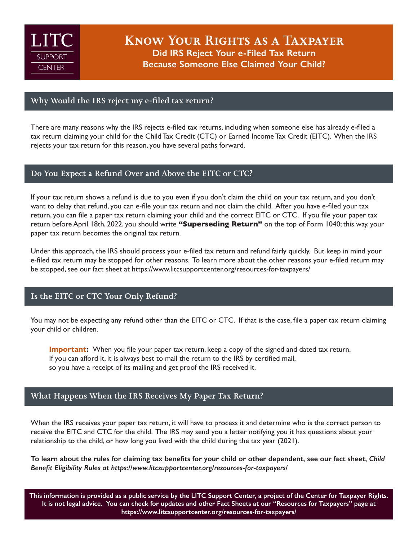

Know Your Rights as a Taxpayer **Did IRS Reject Your e-Filed Tax Return Because Someone Else Claimed Your Child?**

## Why Would the IRS reject my e-filed tax return?

There are many reasons why the IRS rejects e-filed tax returns, including when someone else has already e-filed a tax return claiming your child for the Child Tax Credit (CTC) or Earned Income Tax Credit (EITC). When the IRS rejects your tax return for this reason, you have several paths forward.

### Do You Expect a Refund Over and Above the EITC or CTC?

If your tax return shows a refund is due to you even if you don't claim the child on your tax return, and you don't want to delay that refund, you can e-file your tax return and not claim the child. After you have e-filed your tax return, you can file a paper tax return claiming your child and the correct EITC or CTC. If you file your paper tax return before April 18th, 2022, you should write **"Superseding Return"** on the top of Form 1040; this way, your paper tax return becomes the original tax return.

Under this approach, the IRS should process your e-filed tax return and refund fairly quickly. But keep in mind your e-filed tax return may be stopped for other reasons. To learn more about the other reasons your e-filed return may be stopped, see our fact sheet at<https://www.litcsupportcenter.org/resources-for-taxpayers/>

# Is the EITC or CTC Your Only Refund?

You may not be expecting any refund other than the EITC or CTC. If that is the case, file a paper tax return claiming your child or children.

**Important:** When you file your paper tax return, keep a copy of the signed and dated tax return. If you can afford it, it is always best to mail the return to the IRS by certified mail, so you have a receipt of its mailing and get proof the IRS received it.

## What Happens When the IRS Receives My Paper Tax Return?

When the IRS receives your paper tax return, it will have to process it and determine who is the correct person to receive the EITC and CTC for the child. The IRS may send you a letter notifying you it has questions about your relationship to the child, or how long you lived with the child during the tax year (2021).

**To learn about the rules for claiming tax benefits for your child or other dependent, see our fact sheet,** *Child Benefit Eligibility Rules at <https://www.litcsupportcenter.org/resources-for-taxpayers/>*

**This information is provided as a public service by the [LITC Support Center](https://litcsupportcenter.org), a project of the [Center for Taxpayer Rights.](https://www.taxpayer-rights.org) It is not legal advice. You can check for updates and other Fact Sheets at our "Resources for Taxpayers" page at <https://www.litcsupportcenter.org/resources-for-taxpayers/>**